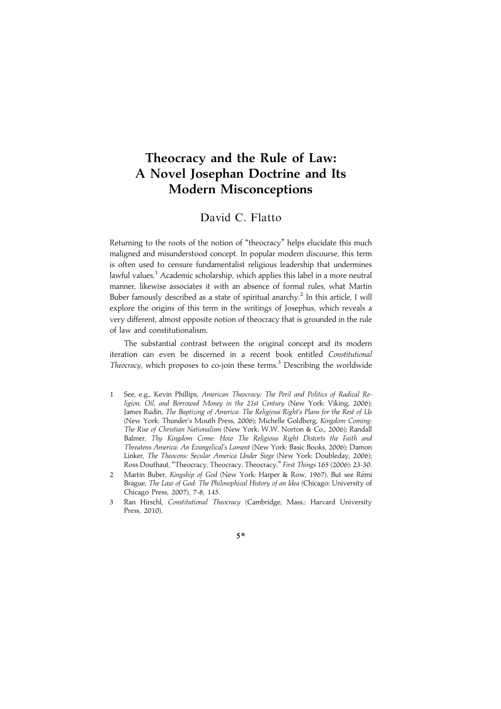# Theocracy and the Rule of Law: A Novel Josephan Doctrine and Its Modern Misconceptions

### David C. Flatto

Returning to the roots of the notion of ''theocracy'' helps elucidate this much maligned and misunderstood concept. In popular modern discourse, this term is often used to censure fundamentalist religious leadership that undermines lawful values.<sup>1</sup> Academic scholarship, which applies this label in a more neutral manner, likewise associates it with an absence of formal rules, what Martin Buber famously described as a state of spiritual anarchy.<sup>2</sup> In this article, I will explore the origins of this term in the writings of Josephus, which reveals a very different, almost opposite notion of theocracy that is grounded in the rule of law and constitutionalism.

The substantial contrast between the original concept and its modern iteration can even be discerned in a recent book entitled Constitutional Theocracy, which proposes to co-join these terms.<sup>3</sup> Describing the worldwide

- 1 See, e.g., Kevin Phillips, American Theocracy: The Peril and Politics of Radical Religion, Oil, and Borrowed Money in the 21st Century (New York: Viking, 2006); James Rudin, The Baptizing of America: The Religious Right's Plans for the Rest of Us (New York: Thunder's Mouth Press, 2006); Michelle Goldberg, Kingdom Coming: The Rise of Christian Nationalism (New York: W.W. Norton & Co., 2006); Randall Balmer, Thy Kingdom Come: How The Religious Right Distorts the Faith and Threatens America: An Evangelical's Lament (New York: Basic Books, 2006); Damon Linker, The Theocons: Secular America Under Siege (New York: Doubleday, 2006); Ross Douthaut, "Theocracy, Theocracy, Theocracy," First Things 165 (2006): 23-30.
- Martin Buber, Kingship of God (New York: Harper & Row, 1967). But see Rémi Brague, The Law of God: The Philosophical History of an Idea (Chicago: University of Chicago Press, 2007), 7-8, 145.
- 3 Ran Hirschl, Constitutional Theocracy (Cambridge, Mass.: Harvard University Press, 2010).

5\*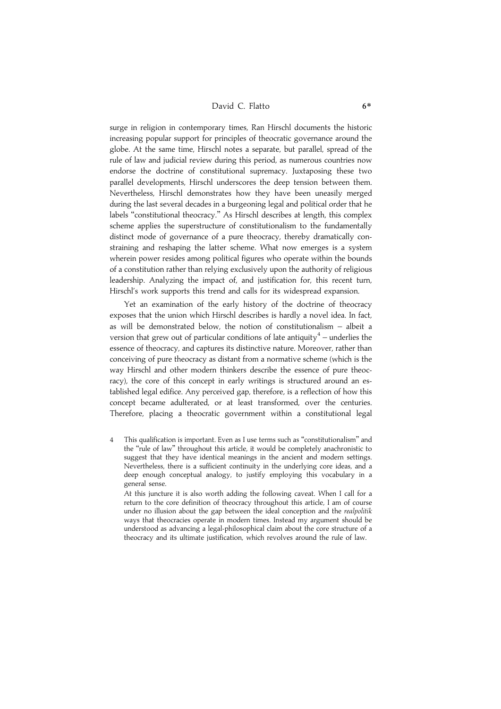### David C. Flatto 6\*

surge in religion in contemporary times, Ran Hirschl documents the historic increasing popular support for principles of theocratic governance around the globe. At the same time, Hirschl notes a separate, but parallel, spread of the rule of law and judicial review during this period, as numerous countries now endorse the doctrine of constitutional supremacy. Juxtaposing these two parallel developments, Hirschl underscores the deep tension between them. Nevertheless, Hirschl demonstrates how they have been uneasily merged during the last several decades in a burgeoning legal and political order that he labels ''constitutional theocracy.'' As Hirschl describes at length, this complex scheme applies the superstructure of constitutionalism to the fundamentally distinct mode of governance of a pure theocracy, thereby dramatically constraining and reshaping the latter scheme. What now emerges is a system wherein power resides among political figures who operate within the bounds of a constitution rather than relying exclusively upon the authority of religious leadership. Analyzing the impact of, and justification for, this recent turn, Hirschl's work supports this trend and calls for its widespread expansion.

Yet an examination of the early history of the doctrine of theocracy exposes that the union which Hirschl describes is hardly a novel idea. In fact, as will be demonstrated below, the notion of constitutionalism – albeit a version that grew out of particular conditions of late antiquity<sup>4</sup> – underlies the essence of theocracy, and captures its distinctive nature. Moreover, rather than conceiving of pure theocracy as distant from a normative scheme (which is the way Hirschl and other modern thinkers describe the essence of pure theocracy), the core of this concept in early writings is structured around an established legal edifice. Any perceived gap, therefore, is a reflection of how this concept became adulterated, or at least transformed, over the centuries. Therefore, placing a theocratic government within a constitutional legal

4 This qualification is important. Even as I use terms such as ''constitutionalism'' and the ''rule of law'' throughout this article, it would be completely anachronistic to suggest that they have identical meanings in the ancient and modern settings. Nevertheless, there is a sufficient continuity in the underlying core ideas, and a deep enough conceptual analogy, to justify employing this vocabulary in a general sense.

At this juncture it is also worth adding the following caveat. When I call for a return to the core definition of theocracy throughout this article, I am of course under no illusion about the gap between the ideal conception and the realpolitik ways that theocracies operate in modern times. Instead my argument should be understood as advancing a legal-philosophical claim about the core structure of a theocracy and its ultimate justification, which revolves around the rule of law.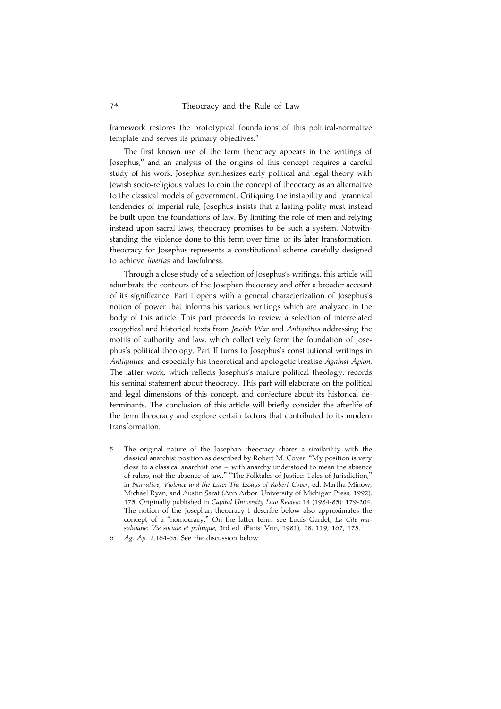framework restores the prototypical foundations of this political-normative template and serves its primary objectives.<sup>5</sup>

The first known use of the term theocracy appears in the writings of Josephus, $6$  and an analysis of the origins of this concept requires a careful study of his work. Josephus synthesizes early political and legal theory with Jewish socio-religious values to coin the concept of theocracy as an alternative to the classical models of government. Critiquing the instability and tyrannical tendencies of imperial rule, Josephus insists that a lasting polity must instead be built upon the foundations of law. By limiting the role of men and relying instead upon sacral laws, theocracy promises to be such a system. Notwithstanding the violence done to this term over time, or its later transformation, theocracy for Josephus represents a constitutional scheme carefully designed to achieve libertas and lawfulness.

Through a close study of a selection of Josephus's writings, this article will adumbrate the contours of the Josephan theocracy and offer a broader account of its significance. Part I opens with a general characterization of Josephus's notion of power that informs his various writings which are analyzed in the body of this article. This part proceeds to review a selection of interrelated exegetical and historical texts from Jewish War and Antiquities addressing the motifs of authority and law, which collectively form the foundation of Josephus's political theology. Part II turns to Josephus's constitutional writings in Antiquities, and especially his theoretical and apologetic treatise Against Apion. The latter work, which reflects Josephus's mature political theology, records his seminal statement about theocracy. This part will elaborate on the political and legal dimensions of this concept, and conjecture about its historical determinants. The conclusion of this article will briefly consider the afterlife of the term theocracy and explore certain factors that contributed to its modern transformation.

- 5 The original nature of the Josephan theocracy shares a similarility with the classical anarchist position as described by Robert M. Cover: ''My position is very close to a classical anarchist one  $-$  with anarchy understood to mean the absence of rulers, not the absence of law.'' ''The Folktales of Justice: Tales of Jurisdiction,'' in Narrative, Violence and the Law: The Essays of Robert Cover, ed. Martha Minow, Michael Ryan, and Austin Sarat (Ann Arbor: University of Michigan Press, 1992), 175. Originally published in Capital University Law Review 14 (1984-85): 179-204. The notion of the Josephan theocracy I describe below also approximates the concept of a ''nomocracy.'' On the latter term, see Louis Gardet, La Cite musulmane: Vie sociale et politique, 3rd ed. (Paris: Vrin, 1981), 28, 119, 167, 175.
- 6 Ag. Ap. 2.164-65. See the discussion below.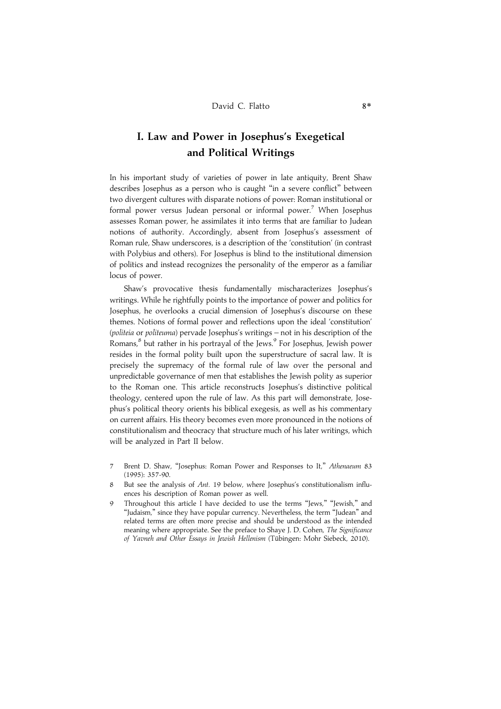## I. Law and Power in Josephus's Exegetical and Political Writings

In his important study of varieties of power in late antiquity, Brent Shaw describes Josephus as a person who is caught ''in a severe conflict'' between two divergent cultures with disparate notions of power: Roman institutional or formal power versus Judean personal or informal power.<sup>7</sup> When Josephus assesses Roman power, he assimilates it into terms that are familiar to Judean notions of authority. Accordingly, absent from Josephus's assessment of Roman rule, Shaw underscores, is a description of the 'constitution' (in contrast with Polybius and others). For Josephus is blind to the institutional dimension of politics and instead recognizes the personality of the emperor as a familiar locus of power.

Shaw's provocative thesis fundamentally mischaracterizes Josephus's writings. While he rightfully points to the importance of power and politics for Josephus, he overlooks a crucial dimension of Josephus's discourse on these themes. Notions of formal power and reflections upon the ideal 'constitution' (politeia or politeuma) pervade Josephus's writings – not in his description of the Romans,<sup>8</sup> but rather in his portrayal of the Jews.<sup>9</sup> For Josephus, Jewish power resides in the formal polity built upon the superstructure of sacral law. It is precisely the supremacy of the formal rule of law over the personal and unpredictable governance of men that establishes the Jewish polity as superior to the Roman one. This article reconstructs Josephus's distinctive political theology, centered upon the rule of law. As this part will demonstrate, Josephus's political theory orients his biblical exegesis, as well as his commentary on current affairs. His theory becomes even more pronounced in the notions of constitutionalism and theocracy that structure much of his later writings, which will be analyzed in Part II below.

- Brent D. Shaw, "Josephus: Roman Power and Responses to It," Athenaeum 83 (1995): 357-90.
- 8 But see the analysis of Ant. 19 below, where Josephus's constitutionalism influences his description of Roman power as well.
- Throughout this article I have decided to use the terms "Jews," "Jewish," and ''Judaism,'' since they have popular currency. Nevertheless, the term ''Judean'' and related terms are often more precise and should be understood as the intended meaning where appropriate. See the preface to Shaye J. D. Cohen, The Significance of Yavneh and Other Essays in Jewish Hellenism (Tübingen: Mohr Siebeck, 2010).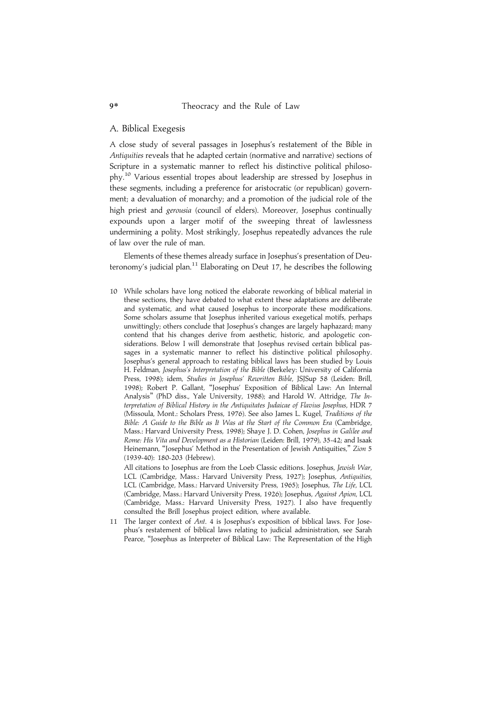#### A. Biblical Exegesis

A close study of several passages in Josephus's restatement of the Bible in Antiquities reveals that he adapted certain (normative and narrative) sections of Scripture in a systematic manner to reflect his distinctive political philosophy.10 Various essential tropes about leadership are stressed by Josephus in these segments, including a preference for aristocratic (or republican) government; a devaluation of monarchy; and a promotion of the judicial role of the high priest and *gerousia* (council of elders). Moreover, Josephus continually expounds upon a larger motif of the sweeping threat of lawlessness undermining a polity. Most strikingly, Josephus repeatedly advances the rule of law over the rule of man.

Elements of these themes already surface in Josephus's presentation of Deuteronomy's judicial plan.<sup>11</sup> Elaborating on Deut 17, he describes the following

10 While scholars have long noticed the elaborate reworking of biblical material in these sections, they have debated to what extent these adaptations are deliberate and systematic, and what caused Josephus to incorporate these modifications. Some scholars assume that Josephus inherited various exegetical motifs, perhaps unwittingly; others conclude that Josephus's changes are largely haphazard; many contend that his changes derive from aesthetic, historic, and apologetic considerations. Below I will demonstrate that Josephus revised certain biblical passages in a systematic manner to reflect his distinctive political philosophy. Josephus's general approach to restating biblical laws has been studied by Louis H. Feldman, Josephus's Interpretation of the Bible (Berkeley: University of California Press, 1998); idem, Studies in Josephus' Rewritten Bible, JSJSup 58 (Leiden: Brill, 1998); Robert P. Gallant, ''Josephus' Exposition of Biblical Law: An Internal Analysis'' (PhD diss., Yale University, 1988); and Harold W. Attridge, The Interpretation of Biblical History in the Antiquitates Judaicae of Flavius Josephus, HDR 7 (Missoula, Mont.: Scholars Press, 1976). See also James L. Kugel, Traditions of the Bible: A Guide to the Bible as It Was at the Start of the Common Era (Cambridge, Mass.: Harvard University Press, 1998); Shaye J. D. Cohen, Josephus in Galilee and Rome: His Vita and Development as a Historian (Leiden: Brill, 1979), 35-42; and Isaak Heinemann, "Josephus' Method in the Presentation of Jewish Antiquities," Zion 5 (1939-40): 180-203 (Hebrew).

All citations to Josephus are from the Loeb Classic editions. Josephus, Jewish War, LCL (Cambridge, Mass.: Harvard University Press, 1927); Josephus, Antiquities, LCL (Cambridge, Mass.: Harvard University Press, 1965); Josephus, The Life, LCL (Cambridge, Mass.: Harvard University Press, 1926); Josephus, Against Apion, LCL (Cambridge, Mass.: Harvard University Press, 1927). I also have frequently consulted the Brill Josephus project edition, where available.

11 The larger context of Ant. 4 is Josephus's exposition of biblical laws. For Josephus's restatement of biblical laws relating to judicial administration, see Sarah Pearce, ''Josephus as Interpreter of Biblical Law: The Representation of the High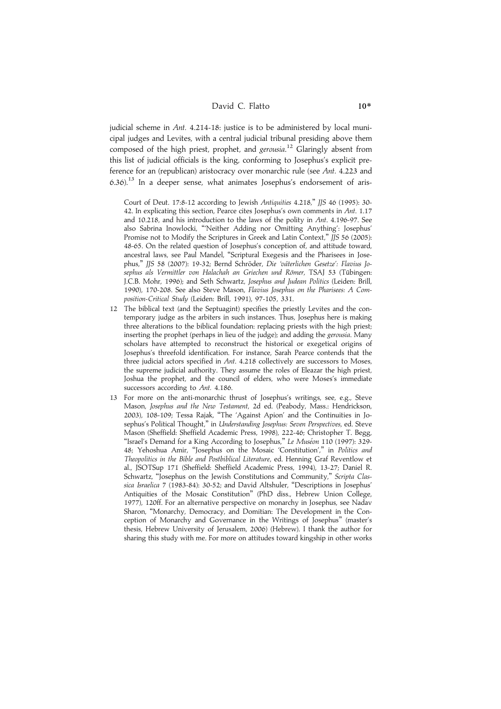judicial scheme in Ant.  $4.214$ -18: justice is to be administered by local municipal judges and Levites, with a central judicial tribunal presiding above them composed of the high priest, prophet, and gerousia.<sup>12</sup> Glaringly absent from this list of judicial officials is the king, conforming to Josephus's explicit preference for an (republican) aristocracy over monarchic rule (see Ant. 4.223 and  $(6.36)$ .<sup>13</sup> In a deeper sense, what animates Josephus's endorsement of aris-

Court of Deut. 17:8-12 according to Jewish Antiquities 4.218,'' JJS 46 (1995): 30- 42. In explicating this section, Pearce cites Josephus's own comments in Ant. 1.17 and 10.218, and his introduction to the laws of the polity in Ant. 4.196-97. See also Sabrina Inowlocki, '''Neither Adding nor Omitting Anything': Josephus' Promise not to Modify the Scriptures in Greek and Latin Context," JJS 56 (2005): 48-65. On the related question of Josephus's conception of, and attitude toward, ancestral laws, see Paul Mandel, ''Scriptural Exegesis and the Pharisees in Josephus," JJS 58 (2007): 19-32; Bernd Schröder, Die 'väterlichen Gesetze': Flavius Josephus als Vermittler von Halachah an Griechen und Römer, TSAJ 53 (Tübingen: J.C.B. Mohr, 1996); and Seth Schwartz, Josephus and Judean Politics (Leiden: Brill, 1990), 170-208. See also Steve Mason, Flavius Josephus on the Pharisees: A Composition-Critical Study (Leiden: Brill, 1991), 97-105, 331.

- 12 The biblical text (and the Septuagint) specifies the priestly Levites and the contemporary judge as the arbiters in such instances. Thus, Josephus here is making three alterations to the biblical foundation: replacing priests with the high priest; inserting the prophet (perhaps in lieu of the judge); and adding the gerousia. Many scholars have attempted to reconstruct the historical or exegetical origins of Josephus's threefold identification. For instance, Sarah Pearce contends that the three judicial actors specified in Ant. 4.218 collectively are successors to Moses, the supreme judicial authority. They assume the roles of Eleazar the high priest, Joshua the prophet, and the council of elders, who were Moses's immediate successors according to Ant. 4.186.
- 13 For more on the anti-monarchic thrust of Josephus's writings, see, e.g., Steve Mason, Josephus and the New Testament, 2d ed. (Peabody, Mass.: Hendrickson, 2003), 108-109; Tessa Rajak, ''The 'Against Apion' and the Continuities in Josephus's Political Thought,'' in Understanding Josephus: Seven Perspectives, ed. Steve Mason (Sheffield: Sheffield Academic Press, 1998), 222-46; Christopher T. Begg, "Israel's Demand for a King According to Josephus," Le Muséon 110 (1997): 329-48; Yehoshua Amir, ''Josephus on the Mosaic 'Constitution','' in Politics and Theopolitics in the Bible and Postbiblical Literature, ed. Henning Graf Reventlow et al., JSOTSup 171 (Sheffield: Sheffield Academic Press, 1994), 13-27; Daniel R. Schwartz, "Josephus on the Jewish Constitutions and Community," Scripta Classica Israelica 7 (1983-84): 30-52; and David Altshuler, ''Descriptions in Josephus' Antiquities of the Mosaic Constitution" (PhD diss., Hebrew Union College, 1977), 120ff. For an alternative perspective on monarchy in Josephus, see Nadav Sharon, ''Monarchy, Democracy, and Domitian: The Development in the Conception of Monarchy and Governance in the Writings of Josephus'' (master's thesis, Hebrew University of Jerusalem, 2006) (Hebrew). I thank the author for sharing this study with me. For more on attitudes toward kingship in other works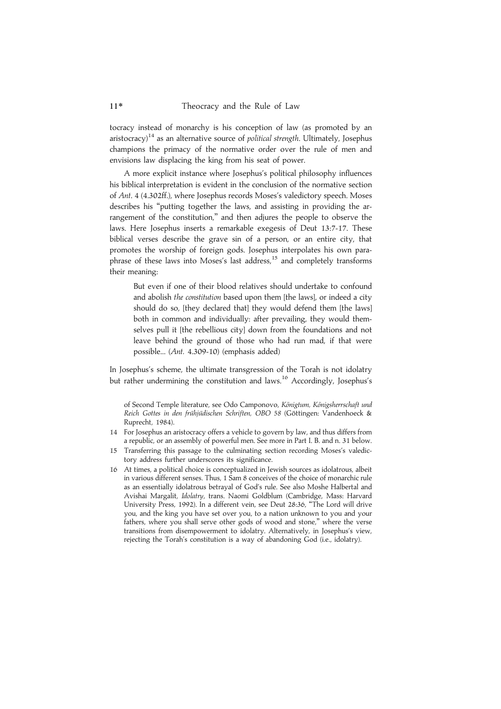tocracy instead of monarchy is his conception of law (as promoted by an aristocracy)<sup>14</sup> as an alternative source of *political strength*. Ultimately, Josephus champions the primacy of the normative order over the rule of men and envisions law displacing the king from his seat of power.

A more explicit instance where Josephus's political philosophy influences his biblical interpretation is evident in the conclusion of the normative section of Ant. 4 (4.302ff.), where Josephus records Moses's valedictory speech. Moses describes his ''putting together the laws, and assisting in providing the arrangement of the constitution," and then adjures the people to observe the laws. Here Josephus inserts a remarkable exegesis of Deut 13:7-17. These biblical verses describe the grave sin of a person, or an entire city, that promotes the worship of foreign gods. Josephus interpolates his own paraphrase of these laws into Moses's last address,<sup>15</sup> and completely transforms their meaning:

But even if one of their blood relatives should undertake to confound and abolish the constitution based upon them [the laws], or indeed a city should do so, [they declared that] they would defend them [the laws] both in common and individually: after prevailing, they would themselves pull it [the rebellious city] down from the foundations and not leave behind the ground of those who had run mad, if that were possible... (Ant. 4.309-10) (emphasis added)

In Josephus's scheme, the ultimate transgression of the Torah is not idolatry but rather undermining the constitution and laws.<sup>16</sup> Accordingly, Josephus's

of Second Temple literature, see Odo Camponovo, Königtum, Königsherrschaft und Reich Gottes in den frühjüdischen Schriften, OBO 58 (Göttingen: Vandenhoeck & Ruprecht, 1984).

- 14 For Josephus an aristocracy offers a vehicle to govern by law, and thus differs from a republic, or an assembly of powerful men. See more in Part I. B. and n. 31 below.
- 15 Transferring this passage to the culminating section recording Moses's valedictory address further underscores its significance.
- 16 At times, a political choice is conceptualized in Jewish sources as idolatrous, albeit in various different senses. Thus, 1 Sam 8 conceives of the choice of monarchic rule as an essentially idolatrous betrayal of God's rule. See also Moshe Halbertal and Avishai Margalit, Idolatry, trans. Naomi Goldblum (Cambridge, Mass: Harvard University Press, 1992). In a different vein, see Deut 28:36, ''The Lord will drive you, and the king you have set over you, to a nation unknown to you and your fathers, where you shall serve other gods of wood and stone," where the verse transitions from disempowerment to idolatry. Alternatively, in Josephus's view, rejecting the Torah's constitution is a way of abandoning God (i.e., idolatry).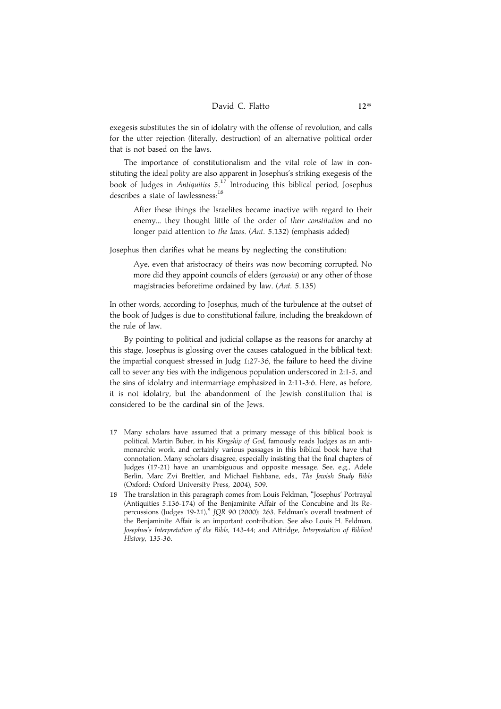exegesis substitutes the sin of idolatry with the offense of revolution, and calls for the utter rejection (literally, destruction) of an alternative political order that is not based on the laws.

The importance of constitutionalism and the vital role of law in constituting the ideal polity are also apparent in Josephus's striking exegesis of the book of Judges in Antiquities 5.<sup>17</sup> Introducing this biblical period, Josephus describes a state of lawlessness:<sup>18</sup>

After these things the Israelites became inactive with regard to their enemy... they thought little of the order of their constitution and no longer paid attention to the laws. (Ant. 5.132) (emphasis added)

Josephus then clarifies what he means by neglecting the constitution:

Aye, even that aristocracy of theirs was now becoming corrupted. No more did they appoint councils of elders (gerousia) or any other of those magistracies beforetime ordained by law. (Ant. 5.135)

In other words, according to Josephus, much of the turbulence at the outset of the book of Judges is due to constitutional failure, including the breakdown of the rule of law.

By pointing to political and judicial collapse as the reasons for anarchy at this stage, Josephus is glossing over the causes catalogued in the biblical text: the impartial conquest stressed in Judg 1:27-36, the failure to heed the divine call to sever any ties with the indigenous population underscored in 2:1-5, and the sins of idolatry and intermarriage emphasized in 2:11-3:6. Here, as before, it is not idolatry, but the abandonment of the Jewish constitution that is considered to be the cardinal sin of the Jews.

- 17 Many scholars have assumed that a primary message of this biblical book is political. Martin Buber, in his Kingship of God, famously reads Judges as an antimonarchic work, and certainly various passages in this biblical book have that connotation. Many scholars disagree, especially insisting that the final chapters of Judges (17-21) have an unambiguous and opposite message. See, e.g., Adele Berlin, Marc Zvi Brettler, and Michael Fishbane, eds., The Jewish Study Bible (Oxford: Oxford University Press, 2004), 509.
- 18 The translation in this paragraph comes from Louis Feldman, ''Josephus' Portrayal  $(Anti)$  (Antiquities 5.136-174) of the Benjaminite Affair of the Concubine and Its Repercussions (Judges 19-21),'' JQR 90 (2000): 263. Feldman's overall treatment of the Benjaminite Affair is an important contribution. See also Louis H. Feldman, Josephus's Interpretation of the Bible, 143-44; and Attridge, Interpretation of Biblical History, 135-36.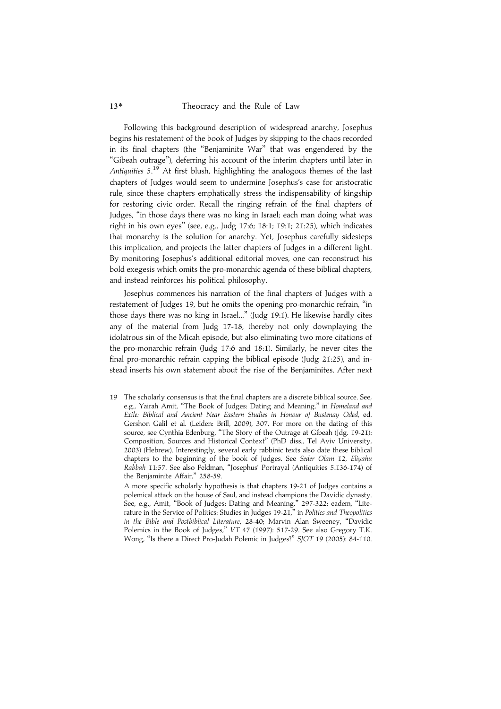#### 13\* Theocracy and the Rule of Law

Following this background description of widespread anarchy, Josephus begins his restatement of the book of Judges by skipping to the chaos recorded in its final chapters (the ''Benjaminite War'' that was engendered by the ''Gibeah outrage''), deferring his account of the interim chapters until later in Antiquities 5.<sup>19</sup> At first blush, highlighting the analogous themes of the last chapters of Judges would seem to undermine Josephus's case for aristocratic rule, since these chapters emphatically stress the indispensability of kingship for restoring civic order. Recall the ringing refrain of the final chapters of Judges, ''in those days there was no king in Israel; each man doing what was right in his own eyes'' (see, e.g., Judg 17:6; 18:1; 19:1; 21:25), which indicates that monarchy is the solution for anarchy. Yet, Josephus carefully sidesteps this implication, and projects the latter chapters of Judges in a different light. By monitoring Josephus's additional editorial moves, one can reconstruct his bold exegesis which omits the pro-monarchic agenda of these biblical chapters, and instead reinforces his political philosophy.

Josephus commences his narration of the final chapters of Judges with a restatement of Judges 19, but he omits the opening pro-monarchic refrain, ''in those days there was no king in Israel...'' (Judg 19:1). He likewise hardly cites any of the material from Judg 17-18, thereby not only downplaying the idolatrous sin of the Micah episode, but also eliminating two more citations of the pro-monarchic refrain (Judg 17:6 and 18:1). Similarly, he never cites the final pro-monarchic refrain capping the biblical episode (Judg 21:25), and instead inserts his own statement about the rise of the Benjaminites. After next

19 The scholarly consensus is that the final chapters are a discrete biblical source. See, e.g., Yairah Amit, "The Book of Judges: Dating and Meaning," in Homeland and Exile: Biblical and Ancient Near Eastern Studies in Honour of Bustenay Oded, ed. Gershon Galil et al. (Leiden: Brill, 2009), 307. For more on the dating of this source, see Cynthia Edenburg, ''The Story of the Outrage at Gibeah (Jdg. 19-21): Composition, Sources and Historical Context'' (PhD diss., Tel Aviv University, 2003) (Hebrew). Interestingly, several early rabbinic texts also date these biblical chapters to the beginning of the book of Judges. See Seder Olam 12, Eliyahu Rabbah 11:57. See also Feldman, ''Josephus' Portrayal (Antiquities 5.136-174) of the Benjaminite Affair,'' 258-59.

A more specific scholarly hypothesis is that chapters 19-21 of Judges contains a polemical attack on the house of Saul, and instead champions the Davidic dynasty. See, e.g., Amit, "Book of Judges: Dating and Meaning," 297-322; eadem, "Literature in the Service of Politics: Studies in Judges 19-21," in Politics and Theopolitics in the Bible and Postbiblical Literature, 28-40; Marvin Alan Sweeney, ''Davidic Polemics in the Book of Judges,'' VT 47 (1997): 517-29. See also Gregory T.K. Wong, ''Is there a Direct Pro-Judah Polemic in Judges?'' SJOT 19 (2005): 84-110.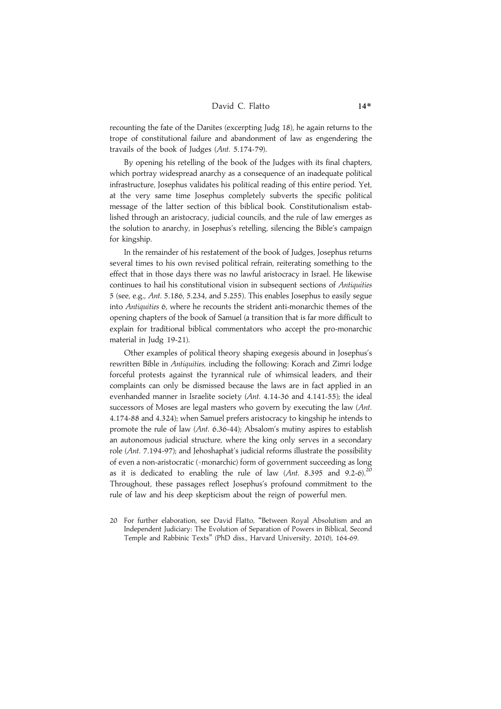recounting the fate of the Danites (excerpting Judg 18), he again returns to the trope of constitutional failure and abandonment of law as engendering the travails of the book of Judges (Ant. 5.174-79).

By opening his retelling of the book of the Judges with its final chapters, which portray widespread anarchy as a consequence of an inadequate political infrastructure, Josephus validates his political reading of this entire period. Yet, at the very same time Josephus completely subverts the specific political message of the latter section of this biblical book. Constitutionalism established through an aristocracy, judicial councils, and the rule of law emerges as the solution to anarchy, in Josephus's retelling, silencing the Bible's campaign for kingship.

In the remainder of his restatement of the book of Judges, Josephus returns several times to his own revised political refrain, reiterating something to the effect that in those days there was no lawful aristocracy in Israel. He likewise continues to hail his constitutional vision in subsequent sections of Antiquities 5 (see, e.g., Ant. 5.186, 5.234, and 5.255). This enables Josephus to easily segue into Antiquities 6, where he recounts the strident anti-monarchic themes of the opening chapters of the book of Samuel (a transition that is far more difficult to explain for traditional biblical commentators who accept the pro-monarchic material in Judg 19-21).

Other examples of political theory shaping exegesis abound in Josephus's rewritten Bible in Antiquities, including the following: Korach and Zimri lodge forceful protests against the tyrannical rule of whimsical leaders, and their complaints can only be dismissed because the laws are in fact applied in an evenhanded manner in Israelite society (Ant. 4.14-36 and 4.141-55); the ideal successors of Moses are legal masters who govern by executing the law (Ant. 4.174-88 and 4.324); when Samuel prefers aristocracy to kingship he intends to promote the rule of law (Ant. 6.36-44); Absalom's mutiny aspires to establish an autonomous judicial structure, where the king only serves in a secondary role (Ant. 7.194-97); and Jehoshaphat's judicial reforms illustrate the possibility of even a non-aristocratic (=monarchic) form of government succeeding as long as it is dedicated to enabling the rule of law (Ant. 8.395 and 9.2-6).<sup>20</sup> Throughout, these passages reflect Josephus's profound commitment to the rule of law and his deep skepticism about the reign of powerful men.

20 For further elaboration, see David Flatto, ''Between Royal Absolutism and an Independent Judiciary: The Evolution of Separation of Powers in Biblical, Second Temple and Rabbinic Texts'' (PhD diss., Harvard University, 2010), 164-69.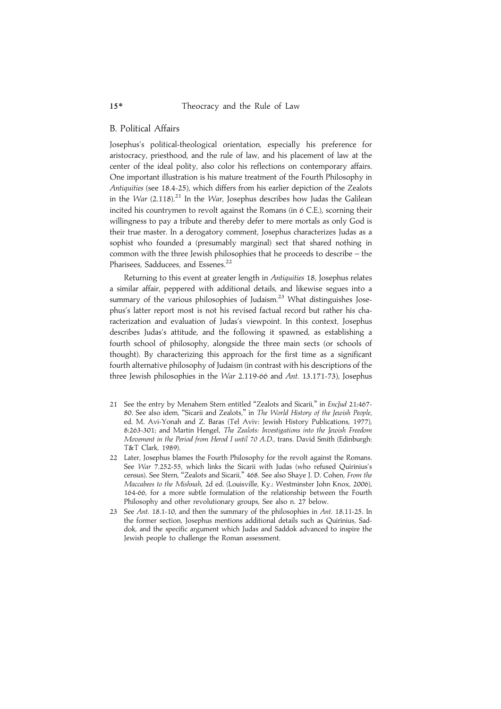### B. Political Affairs

Josephus's political-theological orientation, especially his preference for aristocracy, priesthood, and the rule of law, and his placement of law at the center of the ideal polity, also color his reflections on contemporary affairs. One important illustration is his mature treatment of the Fourth Philosophy in Antiquities (see 18.4-25), which differs from his earlier depiction of the Zealots in the War  $(2.118)^{21}$  In the War, Josephus describes how Judas the Galilean incited his countrymen to revolt against the Romans (in 6 C.E.), scorning their willingness to pay a tribute and thereby defer to mere mortals as only God is their true master. In a derogatory comment, Josephus characterizes Judas as a sophist who founded a (presumably marginal) sect that shared nothing in common with the three Jewish philosophies that he proceeds to describe – the Pharisees, Sadducees, and Essenes.<sup>22</sup>

Returning to this event at greater length in Antiquities 18, Josephus relates a similar affair, peppered with additional details, and likewise segues into a summary of the various philosophies of Judaism.<sup>23</sup> What distinguishes Josephus's latter report most is not his revised factual record but rather his characterization and evaluation of Judas's viewpoint. In this context, Josephus describes Judas's attitude, and the following it spawned, as establishing a fourth school of philosophy, alongside the three main sects (or schools of thought). By characterizing this approach for the first time as a significant fourth alternative philosophy of Judaism (in contrast with his descriptions of the three Jewish philosophies in the War 2.119-66 and Ant. 13.171-73), Josephus

- 21 See the entry by Menahem Stern entitled "Zealots and Sicarii," in EncJud 21:467-80. See also idem, ''Sicarii and Zealots,'' in The World History of the Jewish People, ed. M. Avi-Yonah and Z. Baras (Tel Aviv: Jewish History Publications, 1977), 8:263-301; and Martin Hengel, The Zealots: Investigations into the Jewish Freedom Movement in the Period from Herod I until 70 A.D., trans. David Smith (Edinburgh: T&T Clark, 1989).
- 22 Later, Josephus blames the Fourth Philosophy for the revolt against the Romans. See War 7.252-55, which links the Sicarii with Judas (who refused Quirinius's census). See Stern, ''Zealots and Sicarii,'' 468. See also Shaye J. D. Cohen, From the Maccabees to the Mishnah, 2d ed. (Louisville, Ky.: Westminster John Knox, 2006), 164-66, for a more subtle formulation of the relationship between the Fourth Philosophy and other revolutionary groups, See also n. 27 below.
- 23 See Ant. 18.1-10, and then the summary of the philosophies in Ant. 18.11-25. In the former section, Josephus mentions additional details such as Quirinius, Saddok, and the specific argument which Judas and Saddok advanced to inspire the Jewish people to challenge the Roman assessment.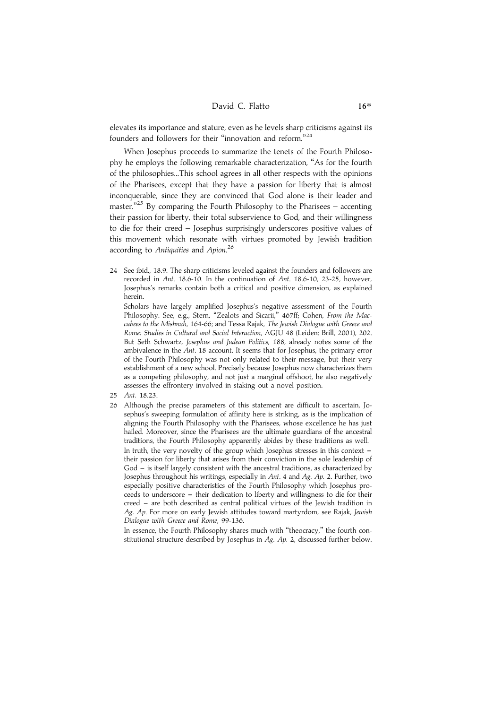### David C. Flatto 16\*

elevates its importance and stature, even as he levels sharp criticisms against its founders and followers for their "innovation and reform."<sup>24</sup>

When Josephus proceeds to summarize the tenets of the Fourth Philosophy he employs the following remarkable characterization, ''As for the fourth of the philosophies...This school agrees in all other respects with the opinions of the Pharisees, except that they have a passion for liberty that is almost inconquerable, since they are convinced that God alone is their leader and master."<sup>25</sup> By comparing the Fourth Philosophy to the Pharisees – accenting their passion for liberty, their total subservience to God, and their willingness to die for their creed – Josephus surprisingly underscores positive values of this movement which resonate with virtues promoted by Jewish tradition according to Antiquities and Apion.<sup>26</sup>

24 See ibid., 18.9. The sharp criticisms leveled against the founders and followers are recorded in Ant. 18.6-10. In the continuation of Ant. 18.6-10, 23-25, however, Josephus's remarks contain both a critical and positive dimension, as explained herein.

Scholars have largely amplified Josephus's negative assessment of the Fourth Philosophy. See, e.g., Stern, "Zealots and Sicarii," 467ff; Cohen, From the Maccabees to the Mishnah, 164-66; and Tessa Rajak, The Jewish Dialogue with Greece and Rome: Studies in Cultural and Social Interaction, AGJU 48 (Leiden: Brill, 2001), 202. But Seth Schwartz, Josephus and Judean Politics, 188, already notes some of the ambivalence in the Ant. 18 account. It seems that for Josephus, the primary error of the Fourth Philosophy was not only related to their message, but their very establishment of a new school. Precisely because Josephus now characterizes them as a competing philosophy, and not just a marginal offshoot, he also negatively assesses the effrontery involved in staking out a novel position.

- 25 Ant. 18.23.
- 26 Although the precise parameters of this statement are difficult to ascertain, Josephus's sweeping formulation of affinity here is striking, as is the implication of aligning the Fourth Philosophy with the Pharisees, whose excellence he has just hailed. Moreover, since the Pharisees are the ultimate guardians of the ancestral traditions, the Fourth Philosophy apparently abides by these traditions as well. In truth, the very novelty of the group which Josephus stresses in this context  $$ their passion for liberty that arises from their conviction in the sole leadership of God - is itself largely consistent with the ancestral traditions, as characterized by Josephus throughout his writings, especially in Ant. 4 and Ag. Ap. 2. Further, two especially positive characteristics of the Fourth Philosophy which Josephus proceeds to underscore - their dedication to liberty and willingness to die for their creed - are both described as central political virtues of the Jewish tradition in Ag. Ap. For more on early Jewish attitudes toward martyrdom, see Rajak, Jewish Dialogue with Greece and Rome, 99-136.

In essence, the Fourth Philosophy shares much with "theocracy," the fourth constitutional structure described by Josephus in Ag. Ap. 2, discussed further below.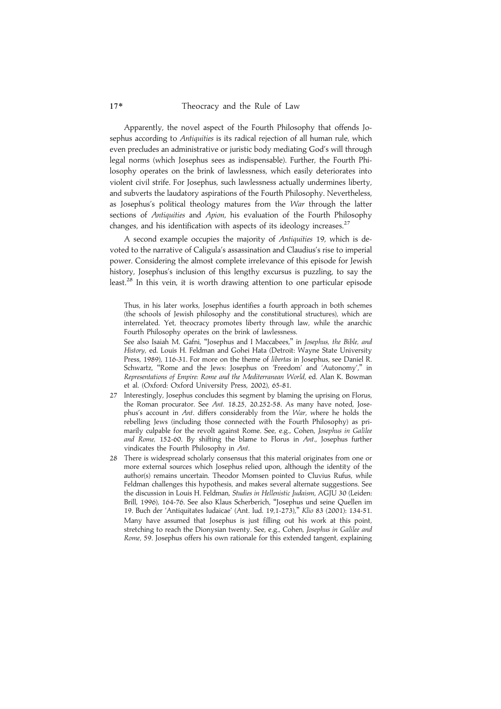Apparently, the novel aspect of the Fourth Philosophy that offends Josephus according to Antiquities is its radical rejection of all human rule, which even precludes an administrative or juristic body mediating God's will through legal norms (which Josephus sees as indispensable). Further, the Fourth Philosophy operates on the brink of lawlessness, which easily deteriorates into violent civil strife. For Josephus, such lawlessness actually undermines liberty, and subverts the laudatory aspirations of the Fourth Philosophy. Nevertheless, as Josephus's political theology matures from the War through the latter sections of Antiquities and Apion, his evaluation of the Fourth Philosophy changes, and his identification with aspects of its ideology increases.<sup>27</sup>

A second example occupies the majority of Antiquities 19, which is devoted to the narrative of Caligula's assassination and Claudius's rise to imperial power. Considering the almost complete irrelevance of this episode for Jewish history, Josephus's inclusion of this lengthy excursus is puzzling, to say the least.<sup>28</sup> In this vein, it is worth drawing attention to one particular episode

Thus, in his later works, Josephus identifies a fourth approach in both schemes (the schools of Jewish philosophy and the constitutional structures), which are interrelated. Yet, theocracy promotes liberty through law, while the anarchic Fourth Philosophy operates on the brink of lawlessness.

See also Isaiah M. Gafni, "Josephus and I Maccabees," in Josephus, the Bible, and History, ed. Louis H. Feldman and Gohei Hata (Detroit: Wayne State University Press, 1989), 116-31. For more on the theme of *libertas* in Josephus, see Daniel R. Schwartz, ''Rome and the Jews: Josephus on 'Freedom' and 'Autonomy','' in Representations of Empire: Rome and the Mediterranean World, ed. Alan K. Bowman et al. (Oxford: Oxford University Press, 2002), 65-81.

- 27 Interestingly, Josephus concludes this segment by blaming the uprising on Florus, the Roman procurator. See Ant. 18.25, 20.252-58. As many have noted, Josephus's account in Ant. differs considerably from the War, where he holds the rebelling Jews (including those connected with the Fourth Philosophy) as primarily culpable for the revolt against Rome. See, e.g., Cohen, Josephus in Galilee and Rome, 152-60. By shifting the blame to Florus in Ant., Josephus further vindicates the Fourth Philosophy in Ant.
- 28 There is widespread scholarly consensus that this material originates from one or more external sources which Josephus relied upon, although the identity of the author(s) remains uncertain. Theodor Momsen pointed to Cluvius Rufus, while Feldman challenges this hypothesis, and makes several alternate suggestions. See the discussion in Louis H. Feldman, Studies in Hellenistic Judaism, AGJU 30 (Leiden: Brill, 1996), 164-76. See also Klaus Scherberich, ''Josephus und seine Quellen im 19. Buch der 'Antiquitates Iudaicae' (Ant. Iud. 19,1-273),'' Klio 83 (2001): 134-51. Many have assumed that Josephus is just filling out his work at this point, stretching to reach the Dionysian twenty. See, e.g., Cohen, Josephus in Galilee and Rome, 59. Josephus offers his own rationale for this extended tangent, explaining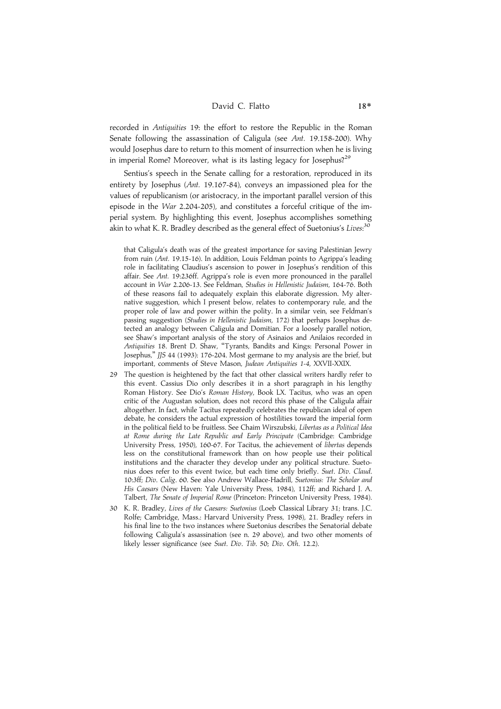### David C. Flatto 18\*

recorded in Antiquities 19: the effort to restore the Republic in the Roman Senate following the assassination of Caligula (see Ant. 19.158-200). Why would Josephus dare to return to this moment of insurrection when he is living in imperial Rome? Moreover, what is its lasting legacy for Josephus?<sup>29</sup>

Sentius's speech in the Senate calling for a restoration, reproduced in its entirety by Josephus (Ant. 19.167-84), conveys an impassioned plea for the values of republicanism (or aristocracy, in the important parallel version of this episode in the War 2.204-205), and constitutes a forceful critique of the imperial system. By highlighting this event, Josephus accomplishes something akin to what K. R. Bradley described as the general effect of Suetonius's *Lives*:<sup>30</sup>

that Caligula's death was of the greatest importance for saving Palestinian Jewry from ruin (Ant. 19.15-16). In addition, Louis Feldman points to Agrippa's leading role in facilitating Claudius's ascension to power in Josephus's rendition of this affair. See Ant. 19:236ff. Agrippa's role is even more pronounced in the parallel account in War 2.206-13. See Feldman, Studies in Hellenistic Judaism, 164-76. Both of these reasons fail to adequately explain this elaborate digression. My alternative suggestion, which I present below, relates to contemporary rule, and the proper role of law and power within the polity. In a similar vein, see Feldman's passing suggestion (Studies in Hellenistic Judaism, 172) that perhaps Josephus detected an analogy between Caligula and Domitian. For a loosely parallel notion, see Shaw's important analysis of the story of Asinaios and Anilaios recorded in Antiquities 18. Brent D. Shaw, ''Tyrants, Bandits and Kings: Personal Power in Josephus,'' JJS 44 (1993): 176-204. Most germane to my analysis are the brief, but important, comments of Steve Mason, Judean Antiquities 1-4, XXVII-XXIX.

- 29 The question is heightened by the fact that other classical writers hardly refer to this event. Cassius Dio only describes it in a short paragraph in his lengthy Roman History. See Dio's Roman History, Book LX. Tacitus, who was an open critic of the Augustan solution, does not record this phase of the Caligula affair altogether. In fact, while Tacitus repeatedly celebrates the republican ideal of open debate, he considers the actual expression of hostilities toward the imperial form in the political field to be fruitless. See Chaim Wirszubski, Libertas as a Political Idea at Rome during the Late Republic and Early Principate (Cambridge: Cambridge University Press, 1950), 160-67. For Tacitus, the achievement of libertas depends less on the constitutional framework than on how people use their political institutions and the character they develop under any political structure. Suetonius does refer to this event twice, but each time only briefly. Suet. Div. Claud. 10:3ff; Div. Calig. 60. See also Andrew Wallace-Hadrill, Suetonius: The Scholar and His Caesars (New Haven: Yale University Press, 1984), 112ff; and Richard J. A. Talbert, The Senate of Imperial Rome (Princeton: Princeton University Press, 1984).
- 30 K. R. Bradley, Lives of the Caesars: Suetonius (Loeb Classical Library 31; trans. J.C. Rolfe; Cambridge, Mass.: Harvard University Press, 1998), 21. Bradley refers in his final line to the two instances where Suetonius describes the Senatorial debate following Caligula's assassination (see n. 29 above), and two other moments of likely lesser significance (see Suet. Div. Tib. 50; Div. Oth. 12.2).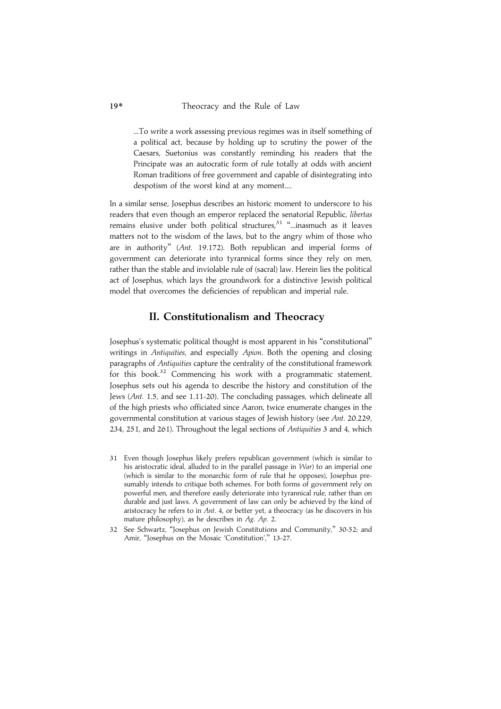...To write a work assessing previous regimes was in itself something of a political act, because by holding up to scrutiny the power of the Caesars, Suetonius was constantly reminding his readers that the Principate was an autocratic form of rule totally at odds with ancient Roman traditions of free government and capable of disintegrating into despotism of the worst kind at any moment....

In a similar sense, Josephus describes an historic moment to underscore to his readers that even though an emperor replaced the senatorial Republic, libertas remains elusive under both political structures,<sup>31</sup> "...inasmuch as it leaves matters not to the wisdom of the laws, but to the angry whim of those who are in authority'' (Ant. 19.172). Both republican and imperial forms of government can deteriorate into tyrannical forms since they rely on men, rather than the stable and inviolable rule of (sacral) law. Herein lies the political act of Josephus, which lays the groundwork for a distinctive Jewish political model that overcomes the deficiencies of republican and imperial rule.

### II. Constitutionalism and Theocracy

Josephus's systematic political thought is most apparent in his ''constitutional'' writings in Antiquities, and especially Apion. Both the opening and closing paragraphs of Antiquities capture the centrality of the constitutional framework for this book.<sup>32</sup> Commencing his work with a programmatic statement, Josephus sets out his agenda to describe the history and constitution of the Jews (Ant. 1.5, and see 1.11-20). The concluding passages, which delineate all of the high priests who officiated since Aaron, twice enumerate changes in the governmental constitution at various stages of Jewish history (see Ant. 20.229, 234, 251, and 261). Throughout the legal sections of Antiquities 3 and 4, which

- 31 Even though Josephus likely prefers republican government (which is similar to his aristocratic ideal, alluded to in the parallel passage in War) to an imperial one (which is similar to the monarchic form of rule that he opposes), Josephus presumably intends to critique both schemes. For both forms of government rely on powerful men, and therefore easily deteriorate into tyrannical rule, rather than on durable and just laws. A government of law can only be achieved by the kind of aristocracy he refers to in Ant. 4, or better yet, a theocracy (as he discovers in his mature philosophy), as he describes in Ag. Ap. 2.
- 32 See Schwartz, ''Josephus on Jewish Constitutions and Community,'' 30-52; and Amir, "Josephus on the Mosaic 'Constitution'," 13-27.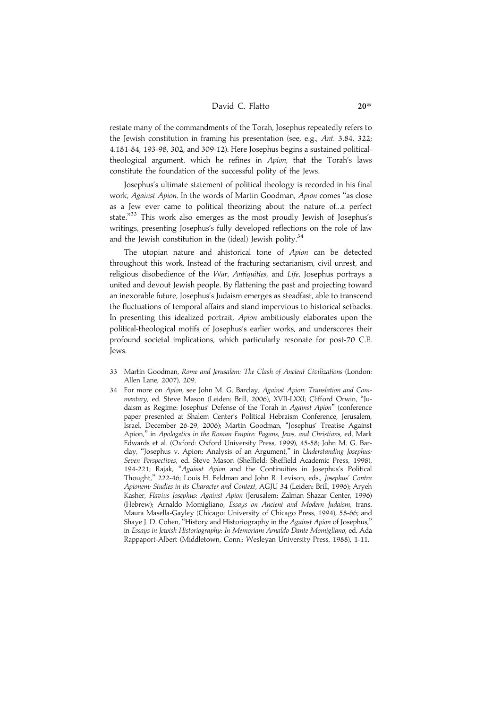### David C. Flatto 20<sup>\*</sup>

restate many of the commandments of the Torah, Josephus repeatedly refers to the Jewish constitution in framing his presentation (see, e.g., Ant. 3.84, 322; 4.181-84, 193-98, 302, and 309-12). Here Josephus begins a sustained politicaltheological argument, which he refines in Apion, that the Torah's laws constitute the foundation of the successful polity of the Jews.

Josephus's ultimate statement of political theology is recorded in his final work, Against Apion. In the words of Martin Goodman, Apion comes ''as close as a Jew ever came to political theorizing about the nature of...a perfect state."<sup>33</sup> This work also emerges as the most proudly Jewish of Josephus's writings, presenting Josephus's fully developed reflections on the role of law and the Jewish constitution in the (ideal) Jewish polity. $34$ 

The utopian nature and ahistorical tone of Apion can be detected throughout this work. Instead of the fracturing sectarianism, civil unrest, and religious disobedience of the *War. Antiquities*, and *Life*, Josephus portrays a united and devout Jewish people. By flattening the past and projecting toward an inexorable future, Josephus's Judaism emerges as steadfast, able to transcend the fluctuations of temporal affairs and stand impervious to historical setbacks. In presenting this idealized portrait, Apion ambitiously elaborates upon the political-theological motifs of Josephus's earlier works, and underscores their profound societal implications, which particularly resonate for post-70 C.E. Jews.

- 33 Martin Goodman, Rome and Jerusalem: The Clash of Ancient Civilizations (London: Allen Lane, 2007), 209.
- 34 For more on Apion, see John M. G. Barclay, Against Apion: Translation and Commentary, ed. Steve Mason (Leiden: Brill, 2006), XVII-LXXI; Clifford Orwin, ''Judaism as Regime: Josephus' Defense of the Torah in Against Apion'' (conference paper presented at Shalem Center's Political Hebraism Conference, Jerusalem, Israel, December 26-29, 2006); Martin Goodman, ''Josephus' Treatise Against Apion,'' in Apologetics in the Roman Empire: Pagans, Jews, and Christians, ed. Mark Edwards et al. (Oxford: Oxford University Press, 1999), 45-58; John M. G. Barclay, ''Josephus v. Apion: Analysis of an Argument,'' in Understanding Josephus: Seven Perspectives, ed. Steve Mason (Sheffield: Sheffield Academic Press, 1998), 194-221; Rajak, ''Against Apion and the Continuities in Josephus's Political Thought,'' 222-46; Louis H. Feldman and John R. Levison, eds., Josephus' Contra Apionem: Studies in its Character and Context, AGJU 34 (Leiden: Brill, 1996); Aryeh Kasher, Flavius Josephus: Against Apion (Jerusalem: Zalman Shazar Center, 1996) (Hebrew); Arnaldo Momigliano, Essays on Ancient and Modern Judaism, trans. Maura Masella-Gayley (Chicago: University of Chicago Press, 1994), 58-66; and Shaye J. D. Cohen, ''History and Historiography in the Against Apion of Josephus,'' in Essays in Jewish Historiography: In Memoriam Arnaldo Dante Momigliano, ed. Ada Rappaport-Albert (Middletown, Conn.: Wesleyan University Press, 1988), 1-11.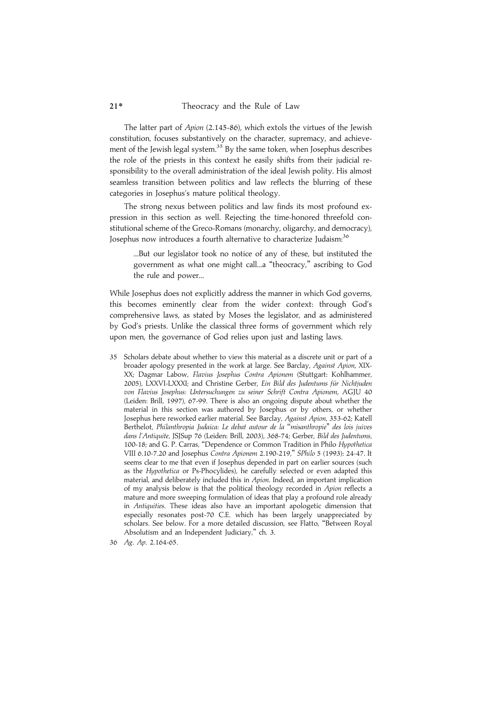The latter part of Apion (2.145-86), which extols the virtues of the Jewish constitution, focuses substantively on the character, supremacy, and achievement of the Jewish legal system.<sup>35</sup> By the same token, when Josephus describes the role of the priests in this context he easily shifts from their judicial responsibility to the overall administration of the ideal Jewish polity. His almost seamless transition between politics and law reflects the blurring of these categories in Josephus's mature political theology.

The strong nexus between politics and law finds its most profound expression in this section as well. Rejecting the time-honored threefold constitutional scheme of the Greco-Romans (monarchy, oligarchy, and democracy), Josephus now introduces a fourth alternative to characterize Judaism:<sup>36</sup>

...But our legislator took no notice of any of these, but instituted the government as what one might call...a ''theocracy,'' ascribing to God the rule and power...

While Josephus does not explicitly address the manner in which God governs, this becomes eminently clear from the wider context: through God's comprehensive laws, as stated by Moses the legislator, and as administered by God's priests. Unlike the classical three forms of government which rely upon men, the governance of God relies upon just and lasting laws.

- 35 Scholars debate about whether to view this material as a discrete unit or part of a broader apology presented in the work at large. See Barclay, Against Apion, XIX-XX; Dagmar Labow, Flavius Josephus Contra Apionem (Stuttgart: Kohlhammer, 2005), LXXVI-LXXXI; and Christine Gerber, Ein Bild des Judentums für Nichtjuden von Flavius Josephus: Untersuchungen zu seiner Schrift Contra Apionem, AGJU 40 (Leiden: Brill, 1997), 67-99. There is also an ongoing dispute about whether the material in this section was authored by Josephus or by others, or whether Josephus here reworked earlier material. See Barclay, Against Apion, 353-62; Katell Berthelot, Philanthropia Judaica: Le debat autour de la ''misanthropie'' des lois juives dans l'Antiquite, JSJSup 76 (Leiden: Brill, 2003), 368-74; Gerber, Bild des Judentums, 100-18; and G. P. Carras, ''Dependence or Common Tradition in Philo Hypothetica VIII 6.10-7.20 and Josephus Contra Apionem 2.190-219,'' SPhilo 5 (1993): 24-47. It seems clear to me that even if Josephus depended in part on earlier sources (such as the Hypothetica or Ps-Phocylides), he carefully selected or even adapted this material, and deliberately included this in Apion. Indeed, an important implication of my analysis below is that the political theology recorded in Apion reflects a mature and more sweeping formulation of ideas that play a profound role already in Antiquities. These ideas also have an important apologetic dimension that especially resonates post-70 C.E. which has been largely unappreciated by scholars. See below. For a more detailed discussion, see Flatto, ''Between Royal Absolutism and an Independent Judiciary,'' ch. 3.
- 36 Ag. Ap. 2.164-65.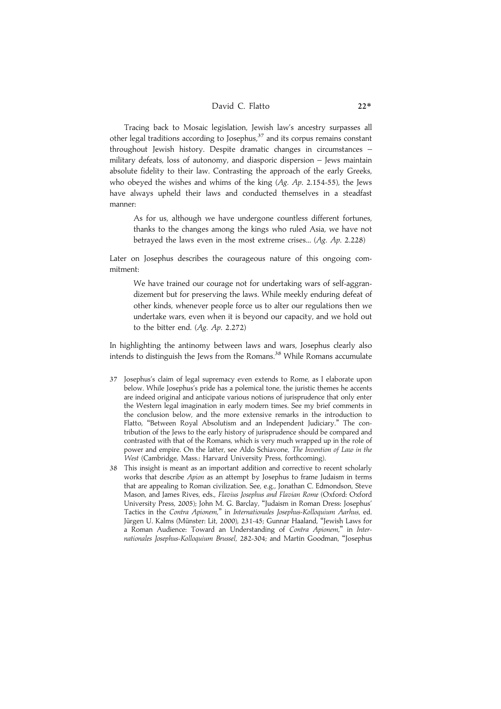Tracing back to Mosaic legislation, Jewish law's ancestry surpasses all other legal traditions according to Josephus,<sup>37</sup> and its corpus remains constant throughout Jewish history. Despite dramatic changes in circumstances – military defeats, loss of autonomy, and diasporic dispersion – Jews maintain absolute fidelity to their law. Contrasting the approach of the early Greeks, who obeyed the wishes and whims of the king (Ag. Ap. 2.154-55), the Jews have always upheld their laws and conducted themselves in a steadfast manner:

As for us, although we have undergone countless different fortunes, thanks to the changes among the kings who ruled Asia, we have not betrayed the laws even in the most extreme crises... (Ag. Ap. 2.228)

Later on Josephus describes the courageous nature of this ongoing commitment:

We have trained our courage not for undertaking wars of self-aggrandizement but for preserving the laws. While meekly enduring defeat of other kinds, whenever people force us to alter our regulations then we undertake wars, even when it is beyond our capacity, and we hold out to the bitter end. (Ag. Ap. 2.272)

In highlighting the antinomy between laws and wars, Josephus clearly also intends to distinguish the Jews from the Romans.<sup>38</sup> While Romans accumulate

- 37 Josephus's claim of legal supremacy even extends to Rome, as I elaborate upon below. While Josephus's pride has a polemical tone, the juristic themes he accents are indeed original and anticipate various notions of jurisprudence that only enter the Western legal imagination in early modern times. See my brief comments in the conclusion below, and the more extensive remarks in the introduction to Flatto, ''Between Royal Absolutism and an Independent Judiciary.'' The contribution of the Jews to the early history of jurisprudence should be compared and contrasted with that of the Romans, which is very much wrapped up in the role of power and empire. On the latter, see Aldo Schiavone, The Invention of Law in the West (Cambridge, Mass.: Harvard University Press, forthcoming).
- 38 This insight is meant as an important addition and corrective to recent scholarly works that describe Apion as an attempt by Josephus to frame Judaism in terms that are appealing to Roman civilization. See, e.g., Jonathan C. Edmondson, Steve Mason, and James Rives, eds., Flavius Josephus and Flavian Rome (Oxford: Oxford University Press, 2005); John M. G. Barclay, ''Judaism in Roman Dress: Josephus' Tactics in the Contra Apionem,'' in Internationales Josephus-Kolloquium Aarhus, ed. Jürgen U. Kalms (Münster: Lit, 2000), 231-45; Gunnar Haaland, "Jewish Laws for a Roman Audience: Toward an Understanding of Contra Apionem," in Internationales Josephus-Kolloquium Brussel, 282-304; and Martin Goodman, ''Josephus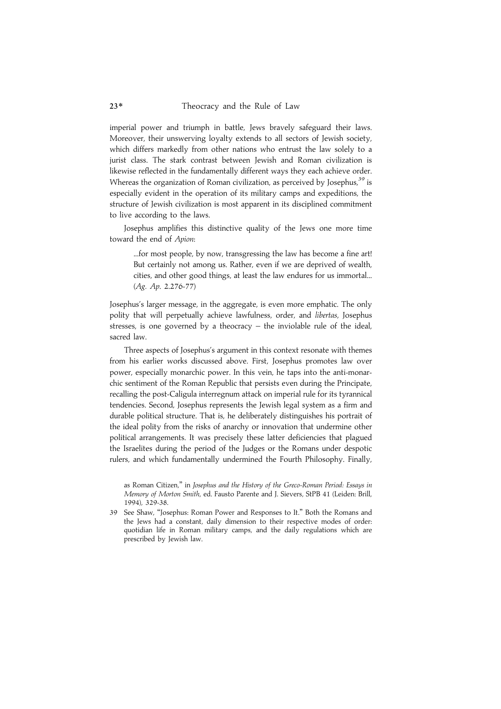imperial power and triumph in battle, Jews bravely safeguard their laws. Moreover, their unswerving loyalty extends to all sectors of Jewish society, which differs markedly from other nations who entrust the law solely to a jurist class. The stark contrast between Jewish and Roman civilization is likewise reflected in the fundamentally different ways they each achieve order. Whereas the organization of Roman civilization, as perceived by Josephus, $39$  is especially evident in the operation of its military camps and expeditions, the structure of Jewish civilization is most apparent in its disciplined commitment to live according to the laws.

Josephus amplifies this distinctive quality of the Jews one more time toward the end of Apion:

...for most people, by now, transgressing the law has become a fine art! But certainly not among us. Rather, even if we are deprived of wealth, cities, and other good things, at least the law endures for us immortal... (Ag. Ap. 2.276-77)

Josephus's larger message, in the aggregate, is even more emphatic. The only polity that will perpetually achieve lawfulness, order, and libertas, Josephus stresses, is one governed by a theocracy – the inviolable rule of the ideal, sacred law.

Three aspects of Josephus's argument in this context resonate with themes from his earlier works discussed above. First, Josephus promotes law over power, especially monarchic power. In this vein, he taps into the anti-monarchic sentiment of the Roman Republic that persists even during the Principate, recalling the post-Caligula interregnum attack on imperial rule for its tyrannical tendencies. Second, Josephus represents the Jewish legal system as a firm and durable political structure. That is, he deliberately distinguishes his portrait of the ideal polity from the risks of anarchy or innovation that undermine other political arrangements. It was precisely these latter deficiencies that plagued the Israelites during the period of the Judges or the Romans under despotic rulers, and which fundamentally undermined the Fourth Philosophy. Finally,

as Roman Citizen,'' in Josephus and the History of the Greco-Roman Period: Essays in Memory of Morton Smith, ed. Fausto Parente and J. Sievers, StPB 41 (Leiden: Brill, 1994), 329-38.

<sup>39</sup> See Shaw, ''Josephus: Roman Power and Responses to It.'' Both the Romans and the Jews had a constant, daily dimension to their respective modes of order: quotidian life in Roman military camps, and the daily regulations which are prescribed by Jewish law.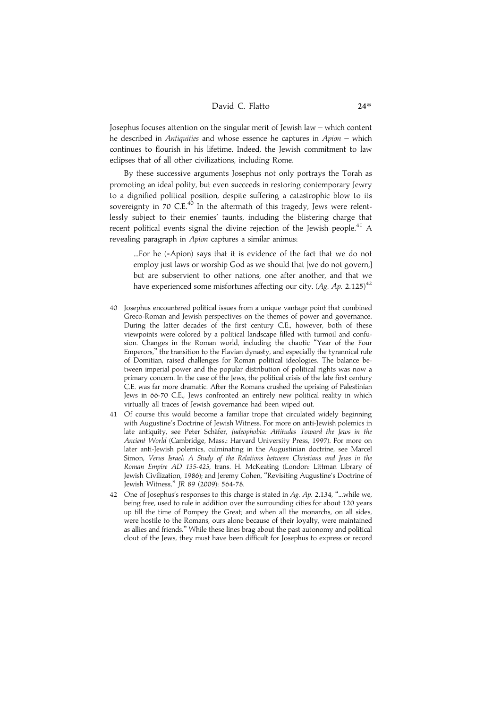Josephus focuses attention on the singular merit of Jewish law – which content he described in Antiquities and whose essence he captures in Apion – which continues to flourish in his lifetime. Indeed, the Jewish commitment to law eclipses that of all other civilizations, including Rome.

By these successive arguments Josephus not only portrays the Torah as promoting an ideal polity, but even succeeds in restoring contemporary Jewry to a dignified political position, despite suffering a catastrophic blow to its sovereignty in 70 C.E.<sup>40</sup> In the aftermath of this tragedy, Jews were relentlessly subject to their enemies' taunts, including the blistering charge that recent political events signal the divine rejection of the Jewish people.<sup>41</sup> A revealing paragraph in Apion captures a similar animus:

...For he (=Apion) says that it is evidence of the fact that we do not employ just laws or worship God as we should that [we do not govern,] but are subservient to other nations, one after another, and that we have experienced some misfortunes affecting our city.  $(Ag. Ap. 2.125)^{42}$ 

- 40 Josephus encountered political issues from a unique vantage point that combined Greco-Roman and Jewish perspectives on the themes of power and governance. During the latter decades of the first century C.E., however, both of these viewpoints were colored by a political landscape filled with turmoil and confusion. Changes in the Roman world, including the chaotic ''Year of the Four Emperors,'' the transition to the Flavian dynasty, and especially the tyrannical rule of Domitian, raised challenges for Roman political ideologies. The balance between imperial power and the popular distribution of political rights was now a primary concern. In the case of the Jews, the political crisis of the late first century C.E. was far more dramatic. After the Romans crushed the uprising of Palestinian Jews in 66-70 C.E., Jews confronted an entirely new political reality in which virtually all traces of Jewish governance had been wiped out.
- 41 Of course this would become a familiar trope that circulated widely beginning with Augustine's Doctrine of Jewish Witness. For more on anti-Jewish polemics in late antiquity, see Peter Schäfer, Judeophobia: Attitudes Toward the Jews in the Ancient World (Cambridge, Mass.: Harvard University Press, 1997). For more on later anti-Jewish polemics, culminating in the Augustinian doctrine, see Marcel Simon, Verus Israel: A Study of the Relations between Christians and Jews in the Roman Empire AD 135-425, trans. H. McKeating (London: Littman Library of Jewish Civilization, 1986); and Jeremy Cohen, ''Revisiting Augustine's Doctrine of Jewish Witness,'' JR 89 (2009): 564-78.
- 42 One of Josephus's responses to this charge is stated in Ag. Ap. 2.134, "...while we, being free, used to rule in addition over the surrounding cities for about 120 years up till the time of Pompey the Great; and when all the monarchs, on all sides, were hostile to the Romans, ours alone because of their loyalty, were maintained as allies and friends.'' While these lines brag about the past autonomy and political clout of the Jews, they must have been difficult for Josephus to express or record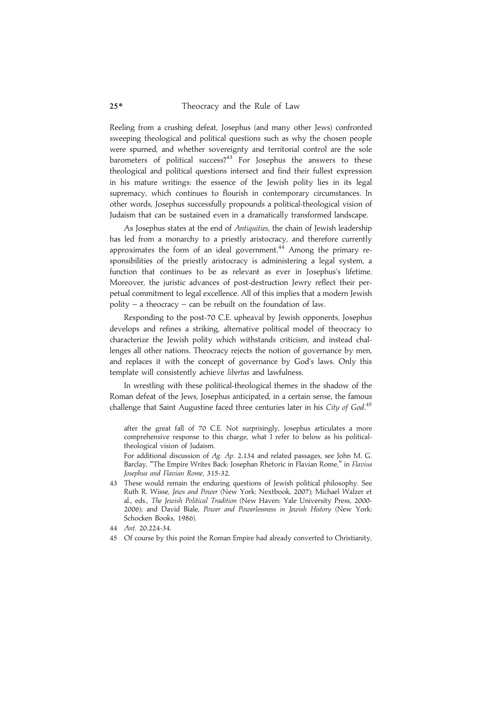Reeling from a crushing defeat, Josephus (and many other Jews) confronted sweeping theological and political questions such as why the chosen people were spurned, and whether sovereignty and territorial control are the sole barometers of political success?<sup>43</sup> For Josephus the answers to these theological and political questions intersect and find their fullest expression in his mature writings: the essence of the Jewish polity lies in its legal supremacy, which continues to flourish in contemporary circumstances. In other words, Josephus successfully propounds a political-theological vision of Judaism that can be sustained even in a dramatically transformed landscape.

As Josephus states at the end of Antiquities, the chain of Jewish leadership has led from a monarchy to a priestly aristocracy, and therefore currently approximates the form of an ideal government.<sup>44</sup> Among the primary responsibilities of the priestly aristocracy is administering a legal system, a function that continues to be as relevant as ever in Josephus's lifetime. Moreover, the juristic advances of post-destruction Jewry reflect their perpetual commitment to legal excellence. All of this implies that a modern Jewish polity – a theocracy – can be rebuilt on the foundation of law.

Responding to the post-70 C.E. upheaval by Jewish opponents, Josephus develops and refines a striking, alternative political model of theocracy to characterize the Jewish polity which withstands criticism, and instead challenges all other nations. Theocracy rejects the notion of governance by men, and replaces it with the concept of governance by God's laws. Only this template will consistently achieve libertas and lawfulness.

In wrestling with these political-theological themes in the shadow of the Roman defeat of the Jews, Josephus anticipated, in a certain sense, the famous challenge that Saint Augustine faced three centuries later in his City of God.<sup>45</sup>

after the great fall of 70 C.E. Not surprisingly, Josephus articulates a more comprehensive response to this charge, what I refer to below as his politicaltheological vision of Judaism.

For additional discussion of Ag. Ap. 2.134 and related passages, see John M. G. Barclay, "The Empire Writes Back: Josephan Rhetoric in Flavian Rome," in Flavius Josephus and Flavian Rome, 315-32.

43 These would remain the enduring questions of Jewish political philosophy. See Ruth R. Wisse, Jews and Power (New York: Nextbook, 2007); Michael Walzer et al., eds., The Jewish Political Tradition (New Haven: Yale University Press, 2000- 2006); and David Biale, Power and Powerlessness in Jewish History (New York: Schocken Books, 1986).

45 Of course by this point the Roman Empire had already converted to Christianity,

<sup>44</sup> Ant. 20.224-34.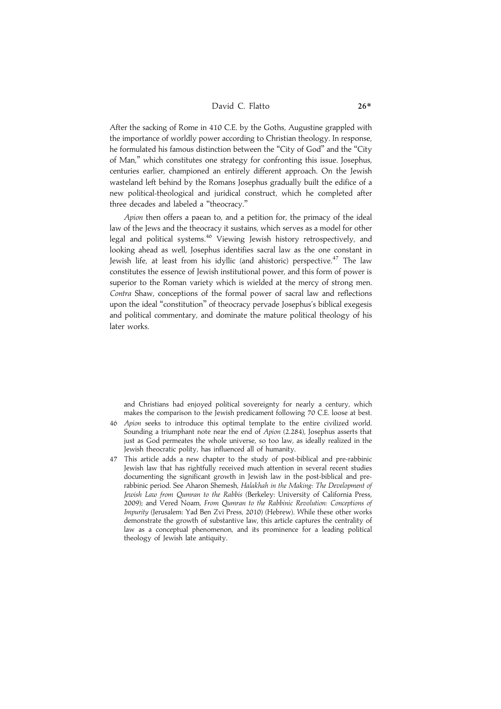After the sacking of Rome in 410 C.E. by the Goths, Augustine grappled with the importance of worldly power according to Christian theology. In response, he formulated his famous distinction between the "City of God" and the "City of Man,'' which constitutes one strategy for confronting this issue. Josephus, centuries earlier, championed an entirely different approach. On the Jewish wasteland left behind by the Romans Josephus gradually built the edifice of a new political-theological and juridical construct, which he completed after three decades and labeled a ''theocracy.''

Apion then offers a paean to, and a petition for, the primacy of the ideal law of the Jews and the theocracy it sustains, which serves as a model for other legal and political systems.<sup>46</sup> Viewing Jewish history retrospectively, and looking ahead as well, Josephus identifies sacral law as the one constant in Jewish life, at least from his idyllic (and ahistoric) perspective.<sup>47</sup> The law constitutes the essence of Jewish institutional power, and this form of power is superior to the Roman variety which is wielded at the mercy of strong men. Contra Shaw, conceptions of the formal power of sacral law and reflections upon the ideal ''constitution'' of theocracy pervade Josephus's biblical exegesis and political commentary, and dominate the mature political theology of his later works.

and Christians had enjoyed political sovereignty for nearly a century, which makes the comparison to the Jewish predicament following 70 C.E. loose at best.

- 46 Apion seeks to introduce this optimal template to the entire civilized world. Sounding a triumphant note near the end of Apion (2.284), Josephus asserts that just as God permeates the whole universe, so too law, as ideally realized in the Jewish theocratic polity, has influenced all of humanity.
- 47 This article adds a new chapter to the study of post-biblical and pre-rabbinic Jewish law that has rightfully received much attention in several recent studies documenting the significant growth in Jewish law in the post-biblical and prerabbinic period. See Aharon Shemesh, Halakhah in the Making: The Development of Jewish Law from Qumran to the Rabbis (Berkeley: University of California Press, 2009); and Vered Noam, From Qumran to the Rabbinic Revolution: Conceptions of Impurity (Jerusalem: Yad Ben Zvi Press, 2010) (Hebrew). While these other works demonstrate the growth of substantive law, this article captures the centrality of law as a conceptual phenomenon, and its prominence for a leading political theology of Jewish late antiquity.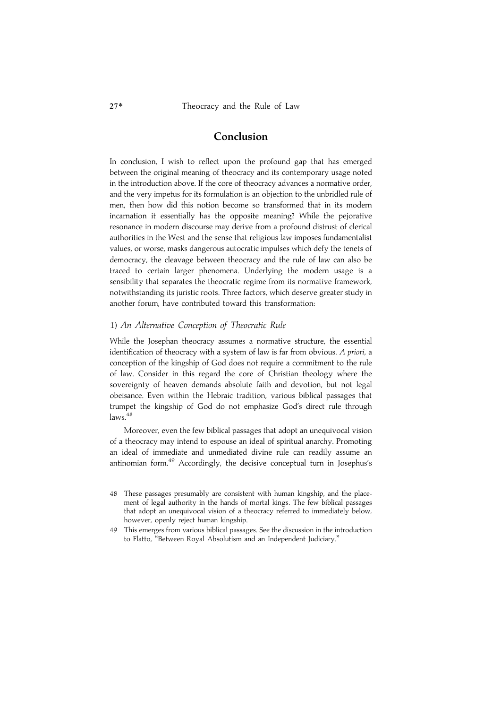### Conclusion

In conclusion, I wish to reflect upon the profound gap that has emerged between the original meaning of theocracy and its contemporary usage noted in the introduction above. If the core of theocracy advances a normative order, and the very impetus for its formulation is an objection to the unbridled rule of men, then how did this notion become so transformed that in its modern incarnation it essentially has the opposite meaning? While the pejorative resonance in modern discourse may derive from a profound distrust of clerical authorities in the West and the sense that religious law imposes fundamentalist values, or worse, masks dangerous autocratic impulses which defy the tenets of democracy, the cleavage between theocracy and the rule of law can also be traced to certain larger phenomena. Underlying the modern usage is a sensibility that separates the theocratic regime from its normative framework, notwithstanding its juristic roots. Three factors, which deserve greater study in another forum, have contributed toward this transformation:

### 1) An Alternative Conception of Theocratic Rule

While the Josephan theocracy assumes a normative structure, the essential identification of theocracy with a system of law is far from obvious. A priori, a conception of the kingship of God does not require a commitment to the rule of law. Consider in this regard the core of Christian theology where the sovereignty of heaven demands absolute faith and devotion, but not legal obeisance. Even within the Hebraic tradition, various biblical passages that trumpet the kingship of God do not emphasize God's direct rule through  $_{\text{laws}}$ <sup>48</sup>

Moreover, even the few biblical passages that adopt an unequivocal vision of a theocracy may intend to espouse an ideal of spiritual anarchy. Promoting an ideal of immediate and unmediated divine rule can readily assume an antinomian form.49 Accordingly, the decisive conceptual turn in Josephus's

<sup>48</sup> These passages presumably are consistent with human kingship, and the placement of legal authority in the hands of mortal kings. The few biblical passages that adopt an unequivocal vision of a theocracy referred to immediately below, however, openly reject human kingship.

<sup>49</sup> This emerges from various biblical passages. See the discussion in the introduction to Flatto, ''Between Royal Absolutism and an Independent Judiciary.''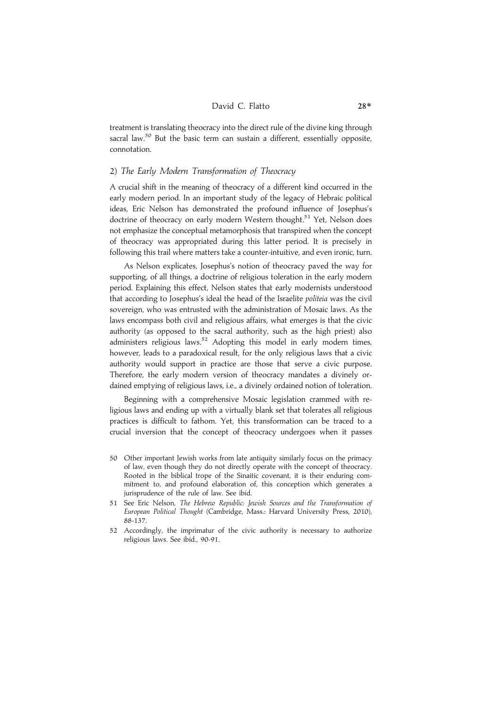### David C. Flatto 28\*

treatment is translating theocracy into the direct rule of the divine king through sacral law.<sup>50</sup> But the basic term can sustain a different, essentially opposite, connotation.

### 2) The Early Modern Transformation of Theocracy

A crucial shift in the meaning of theocracy of a different kind occurred in the early modern period. In an important study of the legacy of Hebraic political ideas, Eric Nelson has demonstrated the profound influence of Josephus's doctrine of theocracy on early modern Western thought.<sup>51</sup> Yet, Nelson does not emphasize the conceptual metamorphosis that transpired when the concept of theocracy was appropriated during this latter period. It is precisely in following this trail where matters take a counter-intuitive, and even ironic, turn.

As Nelson explicates, Josephus's notion of theocracy paved the way for supporting, of all things, a doctrine of religious toleration in the early modern period. Explaining this effect, Nelson states that early modernists understood that according to Josephus's ideal the head of the Israelite politeia was the civil sovereign, who was entrusted with the administration of Mosaic laws. As the laws encompass both civil and religious affairs, what emerges is that the civic authority (as opposed to the sacral authority, such as the high priest) also administers religious laws.<sup>52</sup> Adopting this model in early modern times, however, leads to a paradoxical result, for the only religious laws that a civic authority would support in practice are those that serve a civic purpose. Therefore, the early modern version of theocracy mandates a divinely ordained emptying of religious laws, i.e., a divinely ordained notion of toleration.

Beginning with a comprehensive Mosaic legislation crammed with religious laws and ending up with a virtually blank set that tolerates all religious practices is difficult to fathom. Yet, this transformation can be traced to a crucial inversion that the concept of theocracy undergoes when it passes

- 50 Other important Jewish works from late antiquity similarly focus on the primacy of law, even though they do not directly operate with the concept of theocracy. Rooted in the biblical trope of the Sinaitic covenant, it is their enduring commitment to, and profound elaboration of, this conception which generates a jurisprudence of the rule of law. See ibid.
- 51 See Eric Nelson, The Hebrew Republic: Jewish Sources and the Transformation of European Political Thought (Cambridge, Mass.: Harvard University Press, 2010), 88-137.
- 52 Accordingly, the imprimatur of the civic authority is necessary to authorize religious laws. See ibid., 90-91.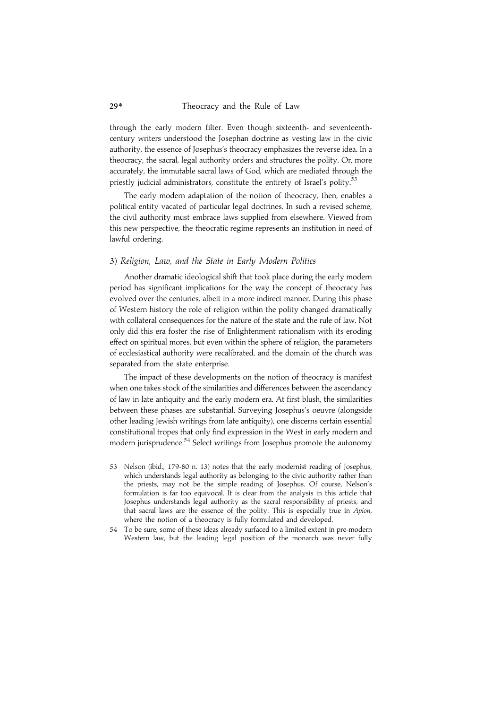### 29\* Theocracy and the Rule of Law

through the early modern filter. Even though sixteenth- and seventeenthcentury writers understood the Josephan doctrine as vesting law in the civic authority, the essence of Josephus's theocracy emphasizes the reverse idea. In a theocracy, the sacral, legal authority orders and structures the polity. Or, more accurately, the immutable sacral laws of God, which are mediated through the priestly judicial administrators, constitute the entirety of Israel's polity.<sup>53</sup>

The early modern adaptation of the notion of theocracy, then, enables a political entity vacated of particular legal doctrines. In such a revised scheme, the civil authority must embrace laws supplied from elsewhere. Viewed from this new perspective, the theocratic regime represents an institution in need of lawful ordering.

### 3) Religion, Law, and the State in Early Modern Politics

Another dramatic ideological shift that took place during the early modern period has significant implications for the way the concept of theocracy has evolved over the centuries, albeit in a more indirect manner. During this phase of Western history the role of religion within the polity changed dramatically with collateral consequences for the nature of the state and the rule of law. Not only did this era foster the rise of Enlightenment rationalism with its eroding effect on spiritual mores, but even within the sphere of religion, the parameters of ecclesiastical authority were recalibrated, and the domain of the church was separated from the state enterprise.

The impact of these developments on the notion of theocracy is manifest when one takes stock of the similarities and differences between the ascendancy of law in late antiquity and the early modern era. At first blush, the similarities between these phases are substantial. Surveying Josephus's oeuvre (alongside other leading Jewish writings from late antiquity), one discerns certain essential constitutional tropes that only find expression in the West in early modern and modern jurisprudence.<sup>54</sup> Select writings from Josephus promote the autonomy

- 53 Nelson (ibid., 179-80 n. 13) notes that the early modernist reading of Josephus, which understands legal authority as belonging to the civic authority rather than the priests, may not be the simple reading of Josephus. Of course, Nelson's formulation is far too equivocal. It is clear from the analysis in this article that Josephus understands legal authority as the sacral responsibility of priests, and that sacral laws are the essence of the polity. This is especially true in Apion, where the notion of a theocracy is fully formulated and developed.
- 54 To be sure, some of these ideas already surfaced to a limited extent in pre-modern Western law, but the leading legal position of the monarch was never fully